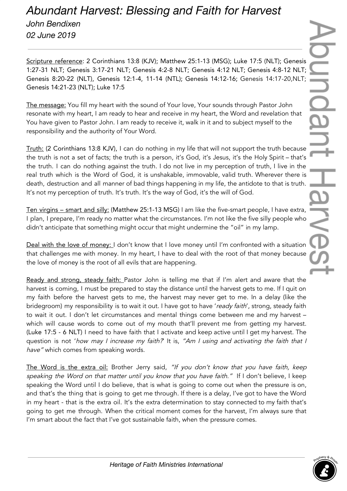## *Abundant Harvest: Blessing and Faith for Harvest John Bendixen 02 June 2019*

Scripture reference: 2 Corinthians 13:8 (KJV); Matthew 25:1-13 (MSG); Luke 17:5 (NLT); Genesis 1:27-31 NLT; Genesis 3:17-21 NLT; Genesis 4:2-8 NLT; Genesis 4:12 NLT; Genesis 4:8-12 NLT; Genesis 8:20-22 (NLT), Genesis 12:1-4, 11-14 (NTL); Genesis 14:12-16; Genesis 14:17-20,NLT; Genesis 14:21-23 (NLT); Luke 17:5

The message: You fill my heart with the sound of Your love, Your sounds through Pastor John resonate with my heart, I am ready to hear and receive in my heart, the Word and revelation that You have given to Pastor John. I am ready to receive it, walk in it and to subject myself to the responsibility and the authority of Your Word.

Truth: (2 Corinthians 13:8 KJV), I can do nothing in my life that will not support the truth because the truth is not a set of facts; the truth is a person, it's God, it's Jesus, it's the Holy Spirit – that's the truth. I can do nothing against the truth. I do not live in my perception of truth, I live in the real truth which is the Word of God, it is unshakable, immovable, valid truth. Wherever there is death, destruction and all manner of bad things happening in my life, the antidote to that is truth. It's not my perception of truth. It's truth. It's the way of God, it's the will of God.

Ten virgins – smart and silly: (Matthew 25:1-13 MSG) I am like the five-smart people, I have extra, I plan, I prepare, I'm ready no matter what the circumstances. I'm not like the five silly people who didn't anticipate that something might occur that might undermine the "oil" in my lamp.

Deal with the love of money: I don't know that I love money until I'm confronted with a situation that challenges me with money. In my heart, I have to deal with the root of that money because the love of money is the root of all evils that are happening.

Ready and strong, steady faith: Pastor John is telling me that if I'm alert and aware that the harvest is coming, I must be prepared to stay the distance until the harvest gets to me. If I quit on my faith before the harvest gets to me, the harvest may never get to me. In a delay (like the bridegroom) my responsibility is to wait it out. I have got to have 'ready faith', strong, steady faith to wait it out. I don't let circumstances and mental things come between me and my harvest – which will cause words to come out of my mouth that'll prevent me from getting my harvest. (Luke 17:5 - 6 NLT) I need to have faith that I activate and keep active until I get my harvest. The question is not 'how may I increase my faith? It is, "Am I using and activating the faith that I have" which comes from speaking words.

The Word is the extra oil: Brother Jerry said, "If you don't know that you have faith, keep speaking the Word on that matter until you know that you have faith." If I don't believe, I keep speaking the Word until I do believe, that is what is going to come out when the pressure is on, and that's the thing that is going to get me through. If there is a delay, I've got to have the Word in my heart - that is the extra oil. It's the extra determination to stay connected to my faith that's going to get me through. When the critical moment comes for the harvest, I'm always sure that I'm smart about the fact that I've got sustainable faith, when the pressure comes.